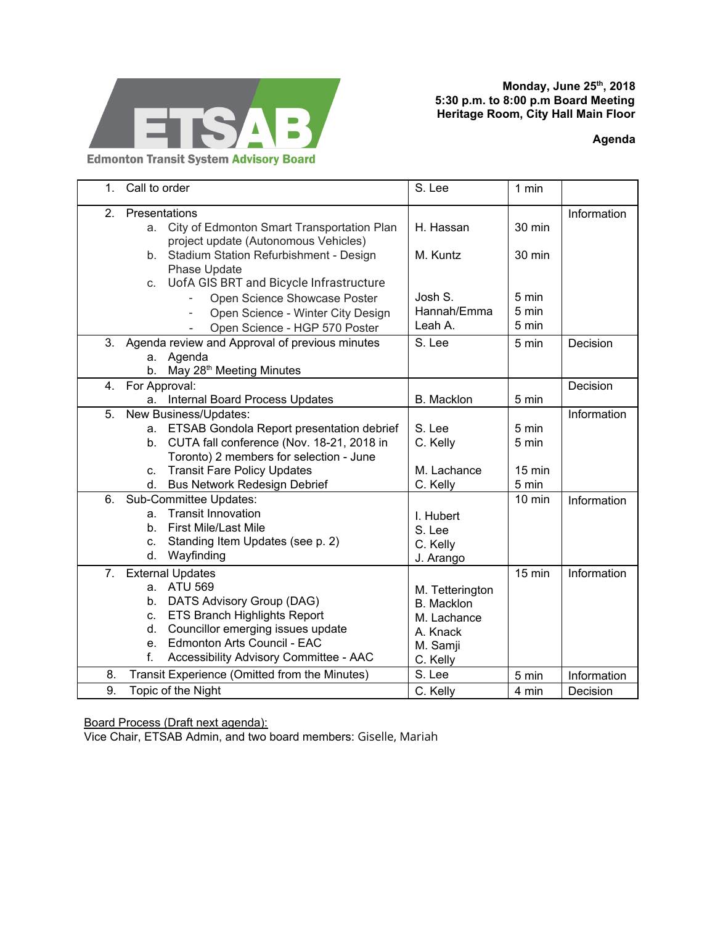

**Monday, June 25 th , 2018 5:30 p.m. to 8:00 p.m Board Meeting Heritage Room, City Hall Main Floor**

**Agenda**

| 1.             | Call to order                                  |                                                               | S. Lee            | 1 min            |             |
|----------------|------------------------------------------------|---------------------------------------------------------------|-------------------|------------------|-------------|
| 2.             | Presentations                                  |                                                               |                   |                  | Information |
|                | a.                                             | City of Edmonton Smart Transportation Plan                    | H. Hassan         | 30 min           |             |
|                |                                                | project update (Autonomous Vehicles)                          |                   |                  |             |
|                | b.                                             | Stadium Station Refurbishment - Design                        | M. Kuntz          | 30 min           |             |
|                |                                                | Phase Update                                                  |                   |                  |             |
|                | C.                                             | UofA GIS BRT and Bicycle Infrastructure                       |                   |                  |             |
|                |                                                | Open Science Showcase Poster                                  | Josh S.           | 5 min            |             |
|                |                                                | Open Science - Winter City Design<br>$\overline{\phantom{0}}$ | Hannah/Emma       | 5 min            |             |
|                |                                                | Open Science - HGP 570 Poster<br>$\blacksquare$               | Leah A.           | 5 min            |             |
| 3.             | Agenda review and Approval of previous minutes |                                                               | S. Lee            | 5 min            | Decision    |
|                |                                                | a. Agenda                                                     |                   |                  |             |
|                | b.                                             | May 28 <sup>th</sup> Meeting Minutes                          |                   |                  |             |
| 4.             | For Approval:                                  |                                                               |                   |                  | Decision    |
|                | a.                                             | Internal Board Process Updates                                | <b>B.</b> Macklon | 5 min            |             |
| 5.             | New Business/Updates:                          |                                                               |                   |                  | Information |
|                | a.                                             | ETSAB Gondola Report presentation debrief                     | S. Lee            | 5 min            |             |
|                | b.                                             | CUTA fall conference (Nov. 18-21, 2018 in                     | C. Kelly          | 5 min            |             |
|                |                                                | Toronto) 2 members for selection - June                       |                   |                  |             |
|                | C.                                             | <b>Transit Fare Policy Updates</b>                            | M. Lachance       | 15 min           |             |
|                | d.                                             | <b>Bus Network Redesign Debrief</b>                           | C. Kelly          | 5 min            |             |
| 6.             | Sub-Committee Updates:                         |                                                               |                   | $10 \text{ min}$ | Information |
|                | a.                                             | <b>Transit Innovation</b>                                     | I. Hubert         |                  |             |
|                | b.                                             | <b>First Mile/Last Mile</b>                                   | S. Lee            |                  |             |
|                | C.                                             | Standing Item Updates (see p. 2)                              | C. Kelly          |                  |             |
|                | d.                                             | Wayfinding                                                    | J. Arango         |                  |             |
| 7 <sub>1</sub> | <b>External Updates</b>                        |                                                               |                   | $15$ min         | Information |
|                | a.                                             | <b>ATU 569</b>                                                | M. Tetterington   |                  |             |
|                | b.                                             | DATS Advisory Group (DAG)                                     | <b>B.</b> Macklon |                  |             |
|                | C.                                             | <b>ETS Branch Highlights Report</b>                           | M. Lachance       |                  |             |
|                | d.                                             | Councillor emerging issues update                             | A. Knack          |                  |             |
|                | e.                                             | Edmonton Arts Council - EAC                                   | M. Samji          |                  |             |
|                | f.                                             | Accessibility Advisory Committee - AAC                        | C. Kelly          |                  |             |
| 8.             |                                                | Transit Experience (Omitted from the Minutes)                 | S. Lee            | 5 min            | Information |
| 9.             | Topic of the Night                             |                                                               | C. Kelly          | 4 min            | Decision    |

Board Process (Draft next agenda):

Vice Chair, ETSAB Admin, and two board members: Giselle, Mariah